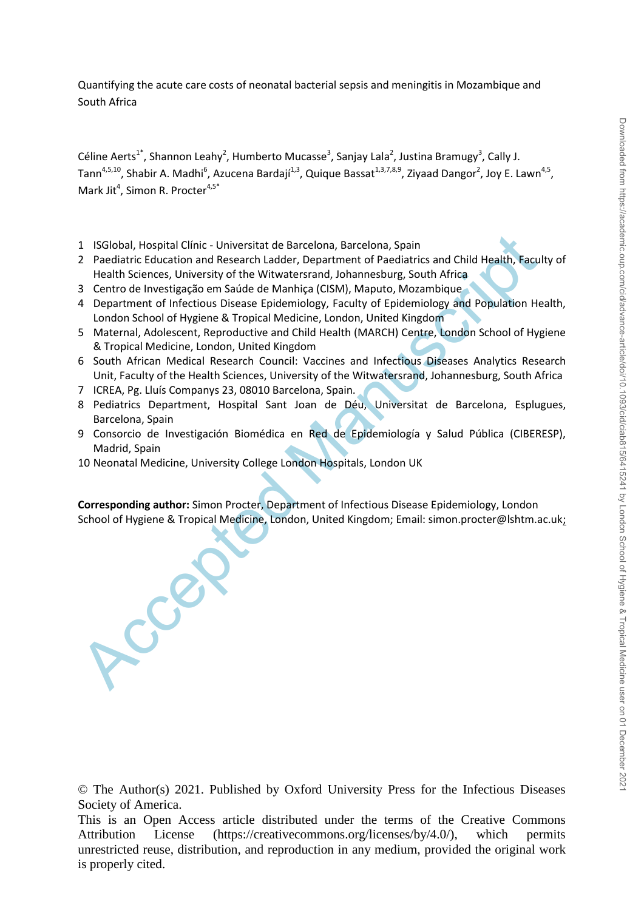Quantifying the acute care costs of neonatal bacterial sepsis and meningitis in Mozambique and South Africa

Céline Aerts<sup>1\*</sup>, Shannon Leahy<sup>2</sup>, Humberto Mucasse<sup>3</sup>, Sanjay Lala<sup>2</sup>, Justina Bramugy<sup>3</sup>, Cally J. Tann<sup>4,5,10</sup>, Shabir A. Madhi<sup>6</sup>, Azucena Bardají<sup>1,3</sup>, Quique Bassat<sup>1,3,7,8,9</sup>, Ziyaad Dangor<sup>2</sup>, Joy E. Lawn<sup>4,5</sup>, Mark Jit<sup>4</sup>, Simon R. Procter<sup>4,5\*</sup>

- 1 ISGlobal, Hospital Clínic Universitat de Barcelona, Barcelona, Spain
- 1 ISGiobal, Hospital Clínic Universitat de Barcelona, Barcelona, Spain<br>
2 Paediatric Education and Research Ladder, Department of Paediatric Studies (101), Health, Facuel<br>
Health Sciences, University of the Witwatersrand 2 Paediatric Education and Research Ladder, Department of Paediatrics and Child Health, Faculty of Health Sciences, University of the Witwatersrand, Johannesburg, South Africa
- 3 Centro de Investigação em Saúde de Manhiça (CISM), Maputo, Mozambique
- 4 Department of Infectious Disease Epidemiology, Faculty of Epidemiology and Population Health, London School of Hygiene & Tropical Medicine, London, United Kingdom
- 5 Maternal, Adolescent, Reproductive and Child Health (MARCH) Centre, London School of Hygiene & Tropical Medicine, London, United Kingdom
- 6 South African Medical Research Council: Vaccines and Infectious Diseases Analytics Research Unit, Faculty of the Health Sciences, University of the Witwatersrand, Johannesburg, South Africa
- 7 ICREA, Pg. Lluís Companys 23, 08010 Barcelona, Spain.
- 8 Pediatrics Department, Hospital Sant Joan de Déu, Universitat de Barcelona, Esplugues, Barcelona, Spain
- 9 Consorcio de Investigación Biomédica en Red de Epidemiología y Salud Pública (CIBERESP), Madrid, Spain
- 10 Neonatal Medicine, University College London Hospitals, London UK

**Corresponding author:** Simon Procter, Department of Infectious Disease Epidemiology, London School of Hygiene & Tropical Medicine, London, United Kingdom; Email: simon.procter@lshtm.ac.uk;

© The Author(s) 2021. Published by Oxford University Press for the Infectious Diseases Society of America.

This is an Open Access article distributed under the terms of the Creative Commons Attribution License (https://creativecommons.org/licenses/by/4.0/), which permits unrestricted reuse, distribution, and reproduction in any medium, provided the original work is properly cited.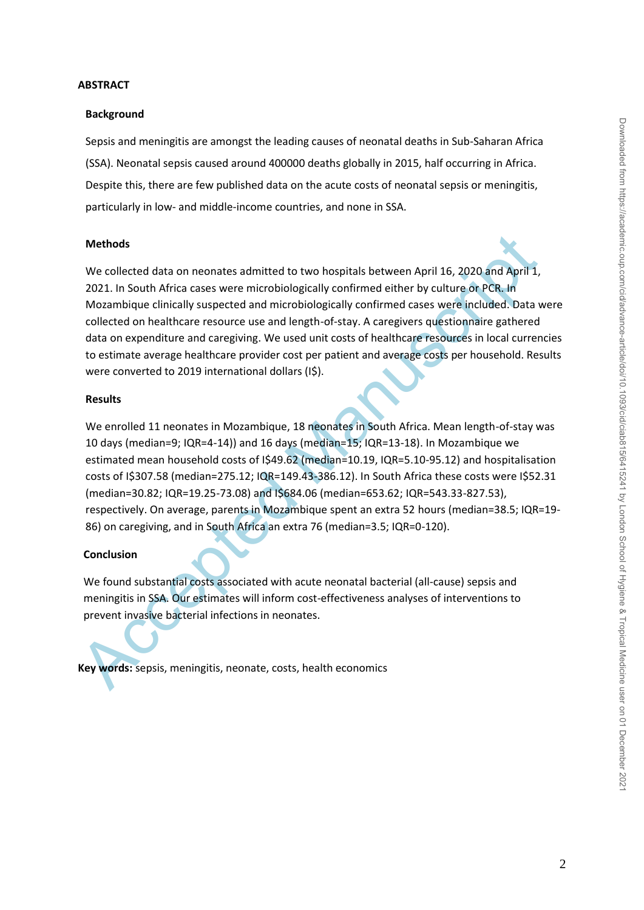### **ABSTRACT**

### **Background**

Sepsis and meningitis are amongst the leading causes of neonatal deaths in Sub-Saharan Africa (SSA). Neonatal sepsis caused around 400000 deaths globally in 2015, half occurring in Africa. Despite this, there are few published data on the acute costs of neonatal sepsis or meningitis, particularly in low- and middle-income countries, and none in SSA.

### **Methods**

Methods<br>
We collected data on neonates admitted to two hospitals between April 16, 2020 and April 1,<br>
2021. In South Africa cases were mirobiologically confirmed either by culture on PCR. In<br>
Morambique dimically superced We collected data on neonates admitted to two hospitals between April 16, 2020 and April 1, 2021. In South Africa cases were microbiologically confirmed either by culture or PCR. In Mozambique clinically suspected and microbiologically confirmed cases were included. Data were collected on healthcare resource use and length-of-stay. A caregivers questionnaire gathered data on expenditure and caregiving. We used unit costs of healthcare resources in local currencies to estimate average healthcare provider cost per patient and average costs per household. Results were converted to 2019 international dollars (I\$).

# **Results**

We enrolled 11 neonates in Mozambique, 18 neonates in South Africa. Mean length-of-stay was 10 days (median=9; IQR=4-14)) and 16 days (median=15; IQR=13-18). In Mozambique we estimated mean household costs of I\$49.62 (median=10.19, IQR=5.10-95.12) and hospitalisation costs of I\$307.58 (median=275.12; IQR=149.43-386.12). In South Africa these costs were I\$52.31 (median=30.82; IQR=19.25-73.08) and I\$684.06 (median=653.62; IQR=543.33-827.53), respectively. On average, parents in Mozambique spent an extra 52 hours (median=38.5; IQR=19- 86) on caregiving, and in South Africa an extra 76 (median=3.5; IQR=0-120).

# **Conclusion**

We found substantial costs associated with acute neonatal bacterial (all-cause) sepsis and meningitis in SSA. Our estimates will inform cost-effectiveness analyses of interventions to prevent invasive bacterial infections in neonates.

**Key words:** sepsis, meningitis, neonate, costs, health economics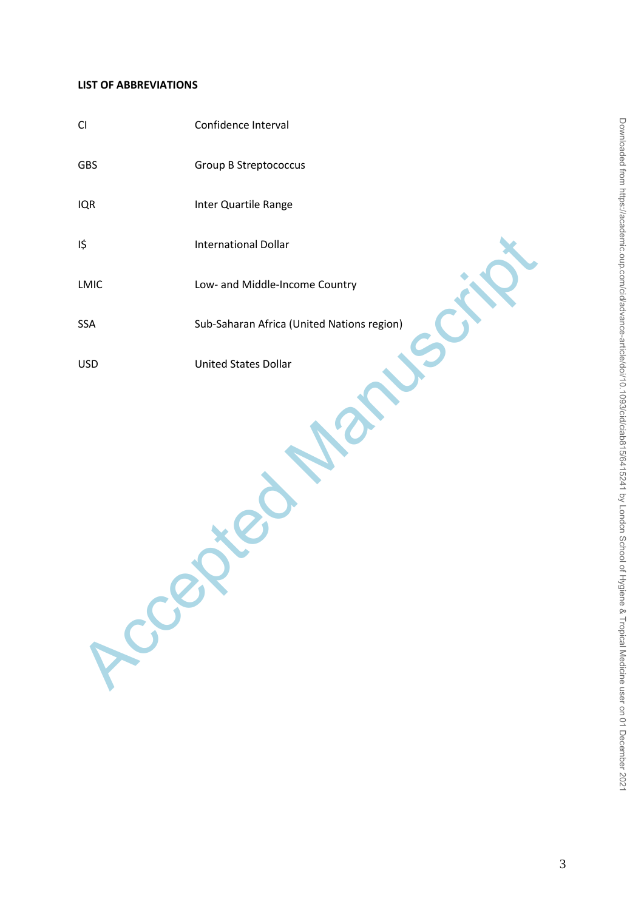### **LIST OF ABBREVIATIONS**

| <b>Group B Streptococcus</b><br>Inter Quartile Range<br><b>International Dollar</b><br>Low- and Middle-Income Country<br>Sub-Saharan Africa (United Nations region) |
|---------------------------------------------------------------------------------------------------------------------------------------------------------------------|
|                                                                                                                                                                     |
|                                                                                                                                                                     |
|                                                                                                                                                                     |
|                                                                                                                                                                     |
|                                                                                                                                                                     |
| <b>United States Dollar</b><br>Rece                                                                                                                                 |
|                                                                                                                                                                     |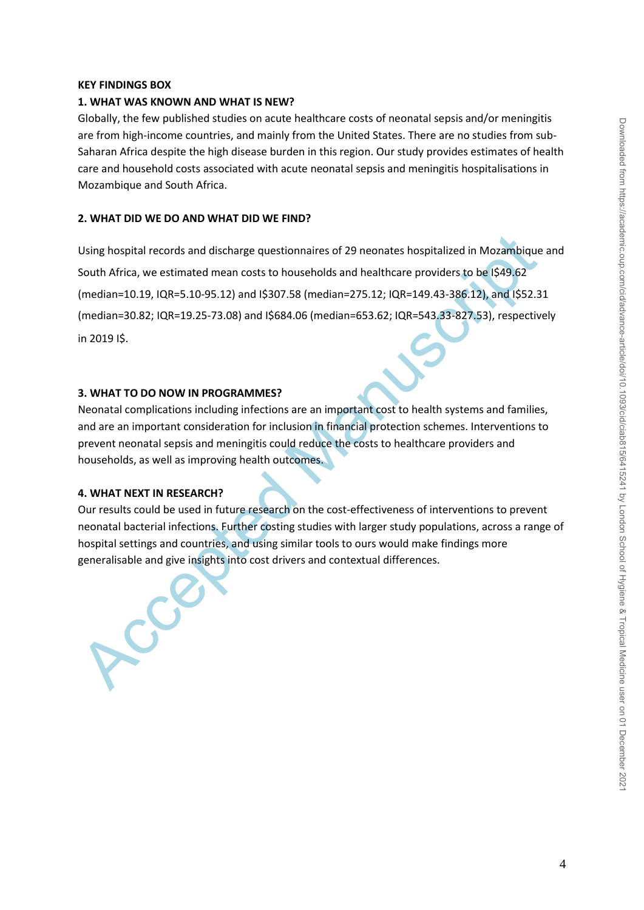# **KEY FINDINGS BOX**

### **1. WHAT WAS KNOWN AND WHAT IS NEW?**

Globally, the few published studies on acute healthcare costs of neonatal sepsis and/or meningitis are from high-income countries, and mainly from the United States. There are no studies from sub-Saharan Africa despite the high disease burden in this region. Our study provides estimates of health care and household costs associated with acute neonatal sepsis and meningitis hospitalisations in Mozambique and South Africa.

## **2. WHAT DID WE DO AND WHAT DID WE FIND?**

Using hospital records and discharge questionnaires of 29 neonates hospitalized in Mozambique<br>
South Africa, we estimated mean costs to households and healthcare providers to be [\$49,62]<br>
(median=10.19, IQR=5.10-95.12) and Using hospital records and discharge questionnaires of 29 neonates hospitalized in Mozambique and South Africa, we estimated mean costs to households and healthcare providers to be I\$49.62 (median=10.19, IQR=5.10-95.12) and I\$307.58 (median=275.12; IQR=149.43-386.12), and I\$52.31 (median=30.82; IQR=19.25-73.08) and I\$684.06 (median=653.62; IQR=543.33-827.53), respectively in 2019 I\$.

# **3. WHAT TO DO NOW IN PROGRAMMES?**

Neonatal complications including infections are an important cost to health systems and families, and are an important consideration for inclusion in financial protection schemes. Interventions to prevent neonatal sepsis and meningitis could reduce the costs to healthcare providers and households, as well as improving health outcomes.

# **4. WHAT NEXT IN RESEARCH?**

Our results could be used in future research on the cost-effectiveness of interventions to prevent neonatal bacterial infections. Further costing studies with larger study populations, across a range of hospital settings and countries, and using similar tools to ours would make findings more generalisable and give insights into cost drivers and contextual differences.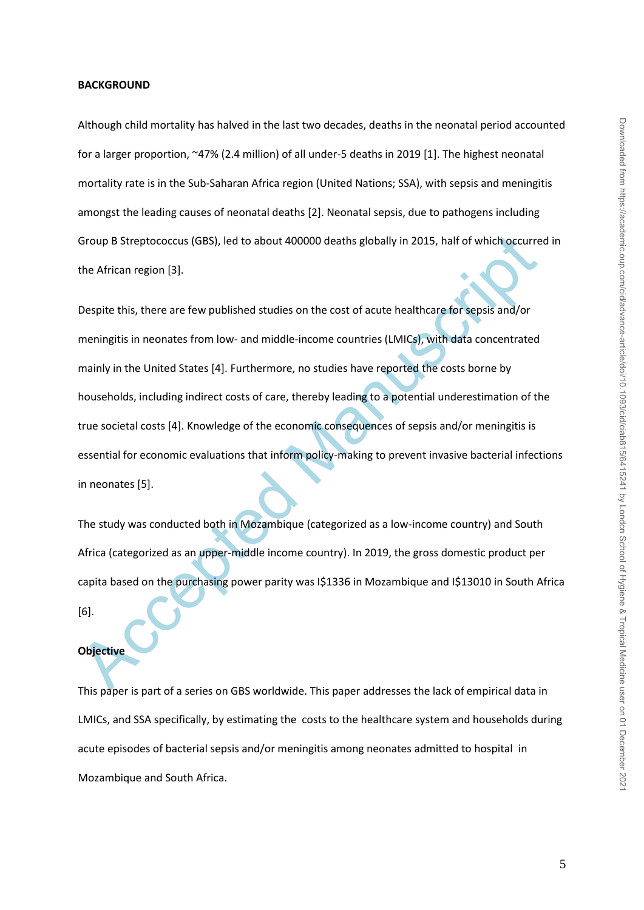#### **BACKGROUND**

Although child mortality has halved in the last two decades, deaths in the neonatal period accounted for a larger proportion, ~47% (2.4 million) of all under-5 deaths in 2019 [1]. The highest neonatal mortality rate is in the Sub-Saharan Africa region (United Nations; SSA), with sepsis and meningitis amongst the leading causes of neonatal deaths [2]. Neonatal sepsis, due to pathogens including Group B Streptococcus (GBS), led to about 400000 deaths globally in 2015, half of which occurred in the African region [3].

Group B Streptococcus (GBS), led to about 400000 deaths globally in 2015, half of which occurre<br>the African region [3].<br>Despite this, there are few published studies on the cost of acute healthcare for sepsis and/or<br>mening Despite this, there are few published studies on the cost of acute healthcare for sepsis and/or meningitis in neonates from low- and middle-income countries (LMICs), with data concentrated mainly in the United States [4]. Furthermore, no studies have reported the costs borne by households, including indirect costs of care, thereby leading to a potential underestimation of the true societal costs [4]. Knowledge of the economic consequences of sepsis and/or meningitis is essential for economic evaluations that inform policy-making to prevent invasive bacterial infections in neonates [5].

The study was conducted both in Mozambique (categorized as a low-income country) and South Africa (categorized as an upper-middle income country). In 2019, the gross domestic product per capita based on the purchasing power parity was I\$1336 in Mozambique and I\$13010 in South Africa [6].

### **Objective**

This paper is part of a series on GBS worldwide. This paper addresses the lack of empirical data in LMICs, and SSA specifically, by estimating the costs to the healthcare system and households during acute episodes of bacterial sepsis and/or meningitis among neonates admitted to hospital in Mozambique and South Africa.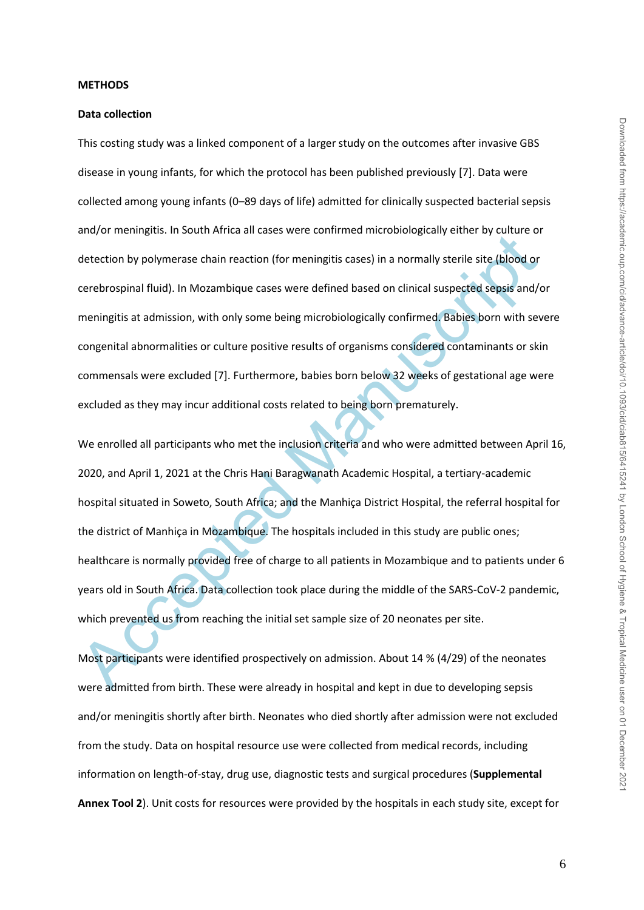#### **METHODS**

### **Data collection**

This costing study was a linked component of a larger study on the outcomes after invasive GBS disease in young infants, for which the protocol has been published previously [7]. Data were collected among young infants (0–89 days of life) admitted for clinically suspected bacterial sepsis and/or meningitis. In South Africa all cases were confirmed microbiologically either by culture or detection by polymerase chain reaction (for meningitis cases) in a normally sterile site (blood or cerebrospinal fluid). In Mozambique cases were defined based on clinical suspected sepsis and/or meningitis at admission, with only some being microbiologically confirmed. Babies born with severe congenital abnormalities or culture positive results of organisms considered contaminants or skin commensals were excluded [7]. Furthermore, babies born below 32 weeks of gestational age were excluded as they may incur additional costs related to being born prematurely.

anayor memigitas. In soluti Antel an eases were commined microlologically cities by political of detection by polymerase chain reaction (for meningitis cases) in a normally sterile site (blood or cerebrospinal fluid). In M We enrolled all participants who met the inclusion criteria and who were admitted between April 16, 2020, and April 1, 2021 at the Chris Hani Baragwanath Academic Hospital, a tertiary-academic hospital situated in Soweto, South Africa; and the Manhiça District Hospital, the referral hospital for the district of Manhiça in Mozambique. The hospitals included in this study are public ones; healthcare is normally provided free of charge to all patients in Mozambique and to patients under 6 years old in South Africa. Data collection took place during the middle of the SARS-CoV-2 pandemic, which prevented us from reaching the initial set sample size of 20 neonates per site.

Most participants were identified prospectively on admission. About 14 % (4/29) of the neonates were admitted from birth. These were already in hospital and kept in due to developing sepsis and/or meningitis shortly after birth. Neonates who died shortly after admission were not excluded from the study. Data on hospital resource use were collected from medical records, including information on length-of-stay, drug use, diagnostic tests and surgical procedures (**Supplemental Annex Tool 2**). Unit costs for resources were provided by the hospitals in each study site, except for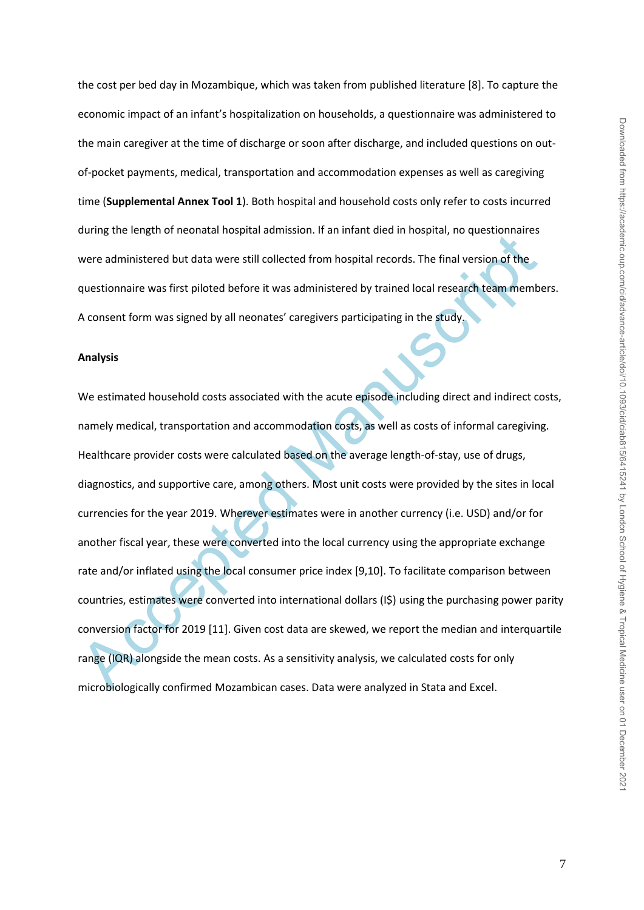the cost per bed day in Mozambique, which was taken from published literature [8]. To capture the economic impact of an infant's hospitalization on households, a questionnaire was administered to the main caregiver at the time of discharge or soon after discharge, and included questions on outof-pocket payments, medical, transportation and accommodation expenses as well as caregiving time (**Supplemental Annex Tool 1**). Both hospital and household costs only refer to costs incurred during the length of neonatal hospital admission. If an infant died in hospital, no questionnaires were administered but data were still collected from hospital records. The final version of the questionnaire was first piloted before it was administered by trained local research team members. A consent form was signed by all neonates' caregivers participating in the study.

### **Analysis**

buring the tength of nechatal molphal admission. In an imalit died inflogate, to decision and the questionnaire<br>sure administered but data were still collected from hospital records. The final version of the<br>questionnaire We estimated household costs associated with the acute episode including direct and indirect costs, namely medical, transportation and accommodation costs, as well as costs of informal caregiving. Healthcare provider costs were calculated based on the average length-of-stay, use of drugs, diagnostics, and supportive care, among others. Most unit costs were provided by the sites in local currencies for the year 2019. Wherever estimates were in another currency (i.e. USD) and/or for another fiscal year, these were converted into the local currency using the appropriate exchange rate and/or inflated using the local consumer price index [9,10]. To facilitate comparison between countries, estimates were converted into international dollars (I\$) using the purchasing power parity conversion factor for 2019 [11]. Given cost data are skewed, we report the median and interquartile range (IQR) alongside the mean costs. As a sensitivity analysis, we calculated costs for only microbiologically confirmed Mozambican cases. Data were analyzed in Stata and Excel.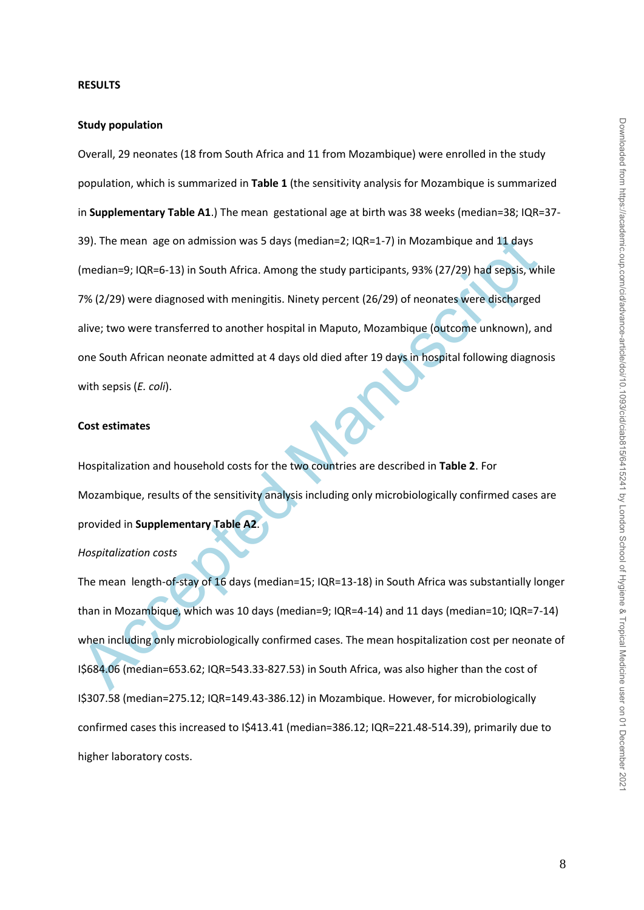#### **RESULTS**

### **Study population**

39). The mean age on admission was 5 days (median=2; IQR=1-7) in Mozambique and 11 days<br>(median=9; IQR=6-13) in South Africa. Among the study participants, 93% (27/29) had sepsis, wh<br>7% (2/29) were diagnosed with meningiti Overall, 29 neonates (18 from South Africa and 11 from Mozambique) were enrolled in the study population, which is summarized in **Table 1** (the sensitivity analysis for Mozambique is summarized in **Supplementary Table A1**.) The mean gestational age at birth was 38 weeks (median=38; IQR=37- 39). The mean age on admission was 5 days (median=2; IQR=1-7) in Mozambique and 11 days (median=9; IQR=6-13) in South Africa. Among the study participants, 93% (27/29) had sepsis, while 7% (2/29) were diagnosed with meningitis. Ninety percent (26/29) of neonates were discharged alive; two were transferred to another hospital in Maputo, Mozambique (outcome unknown), and one South African neonate admitted at 4 days old died after 19 days in hospital following diagnosis with sepsis (*E. coli*).

#### **Cost estimates**

Hospitalization and household costs for the two countries are described in **Table 2**. For Mozambique, results of the sensitivity analysis including only microbiologically confirmed cases are provided in **Supplementary Table A2**.

# *Hospitalization costs*

The mean length-of-stay of 16 days (median=15; IQR=13-18) in South Africa was substantially longer than in Mozambique, which was 10 days (median=9; IQR=4-14) and 11 days (median=10; IQR=7-14) when including only microbiologically confirmed cases. The mean hospitalization cost per neonate of I\$684.06 (median=653.62; IQR=543.33-827.53) in South Africa, was also higher than the cost of I\$307.58 (median=275.12; IQR=149.43-386.12) in Mozambique. However, for microbiologically confirmed cases this increased to I\$413.41 (median=386.12; IQR=221.48-514.39), primarily due to higher laboratory costs.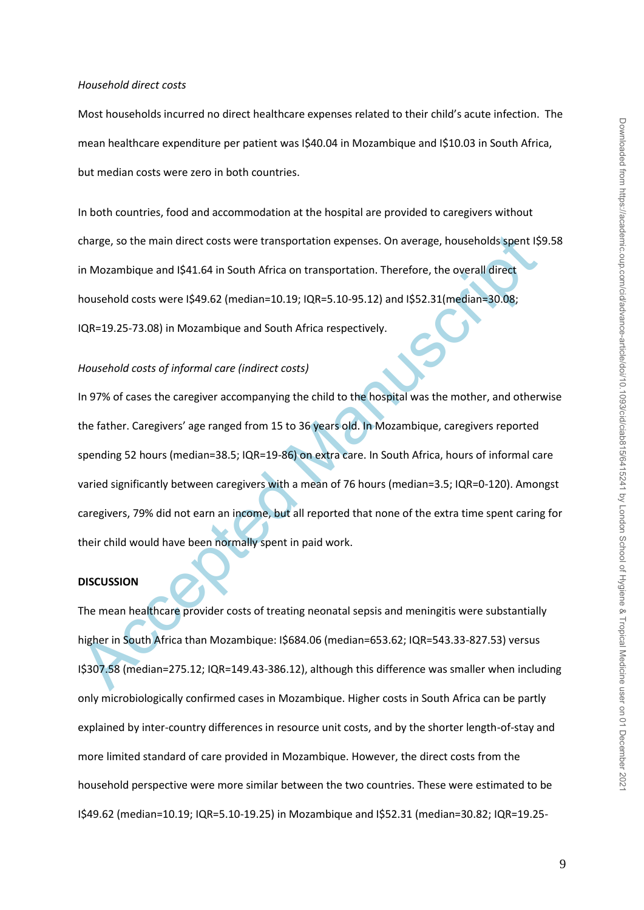#### *Household direct costs*

Most households incurred no direct healthcare expenses related to their child's acute infection. The mean healthcare expenditure per patient was I\$40.04 in Mozambique and I\$10.03 in South Africa, but median costs were zero in both countries.

In both countries, food and accommodation at the hospital are provided to caregivers without charge, so the main direct costs were transportation expenses. On average, households spent I\$9.58 in Mozambique and I\$41.64 in South Africa on transportation. Therefore, the overall direct household costs were I\$49.62 (median=10.19; IQR=5.10-95.12) and I\$52.31(median=30.08; IQR=19.25-73.08) in Mozambique and South Africa respectively.

### *Household costs of informal care (indirect costs)*

charge, so the main direct costs were transportation expenses. On average, households spent IS<br>
in Mozambique and I\$41.64 in South Africa on transportation. Therefore, the overall direct<br>
household costs were I\$49.62 (medi In 97% of cases the caregiver accompanying the child to the hospital was the mother, and otherwise the father. Caregivers' age ranged from 15 to 36 years old. In Mozambique, caregivers reported spending 52 hours (median=38.5; IQR=19-86) on extra care. In South Africa, hours of informal care varied significantly between caregivers with a mean of 76 hours (median=3.5; IQR=0-120). Amongst caregivers, 79% did not earn an income, but all reported that none of the extra time spent caring for their child would have been normally spent in paid work.

#### **DISCUSSION**

The mean healthcare provider costs of treating neonatal sepsis and meningitis were substantially higher in South Africa than Mozambique: I\$684.06 (median=653.62; IQR=543.33-827.53) versus I\$307.58 (median=275.12; IQR=149.43-386.12), although this difference was smaller when including only microbiologically confirmed cases in Mozambique. Higher costs in South Africa can be partly explained by inter-country differences in resource unit costs, and by the shorter length-of-stay and more limited standard of care provided in Mozambique. However, the direct costs from the household perspective were more similar between the two countries. These were estimated to be I\$49.62 (median=10.19; IQR=5.10-19.25) in Mozambique and I\$52.31 (median=30.82; IQR=19.25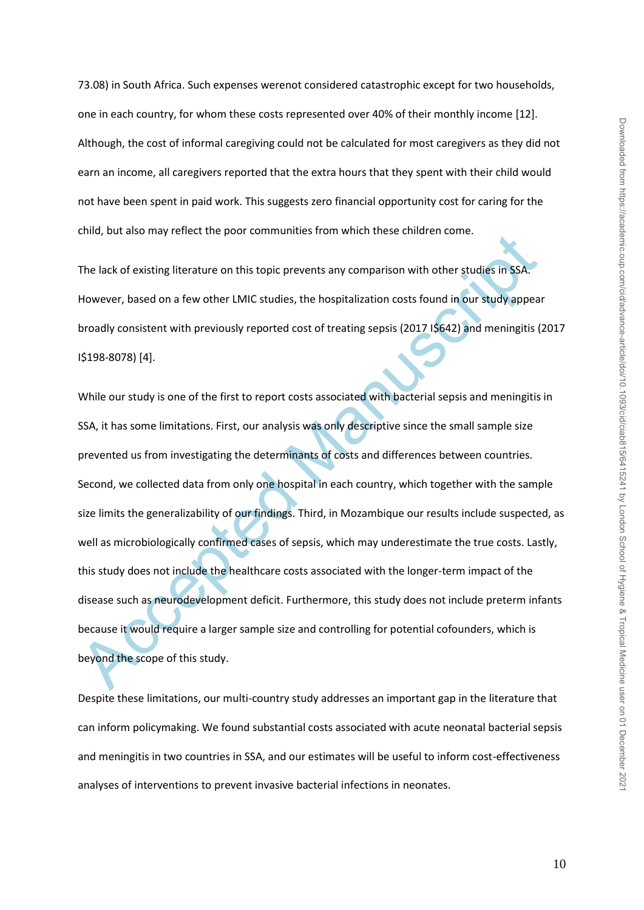73.08) in South Africa. Such expenses werenot considered catastrophic except for two households, one in each country, for whom these costs represented over 40% of their monthly income [12]. Although, the cost of informal caregiving could not be calculated for most caregivers as they did not earn an income, all caregivers reported that the extra hours that they spent with their child would not have been spent in paid work. This suggests zero financial opportunity cost for caring for the child, but also may reflect the poor communities from which these children come.

The lack of existing literature on this topic prevents any comparison with other studies in SSA. However, based on a few other LMIC studies, the hospitalization costs found in our study appear broadly consistent with previously reported cost of treating sepsis (2017 I\$642) and meningitis (2017 I\$198-8078) [4].

Ethelack of existing literature on this topic prevents any comparison with other studies in SSA.<br>The lack of existing literature on this topic prevents any comparison with other studies in SSA.<br>However, based on a few othe While our study is one of the first to report costs associated with bacterial sepsis and meningitis in SSA, it has some limitations. First, our analysis was only descriptive since the small sample size prevented us from investigating the determinants of costs and differences between countries. Second, we collected data from only one hospital in each country, which together with the sample size limits the generalizability of our findings. Third, in Mozambique our results include suspected, as well as microbiologically confirmed cases of sepsis, which may underestimate the true costs. Lastly, this study does not include the healthcare costs associated with the longer-term impact of the disease such as neurodevelopment deficit. Furthermore, this study does not include preterm infants because it would require a larger sample size and controlling for potential cofounders, which is beyond the scope of this study.

Despite these limitations, our multi-country study addresses an important gap in the literature that can inform policymaking. We found substantial costs associated with acute neonatal bacterial sepsis and meningitis in two countries in SSA, and our estimates will be useful to inform cost-effectiveness analyses of interventions to prevent invasive bacterial infections in neonates.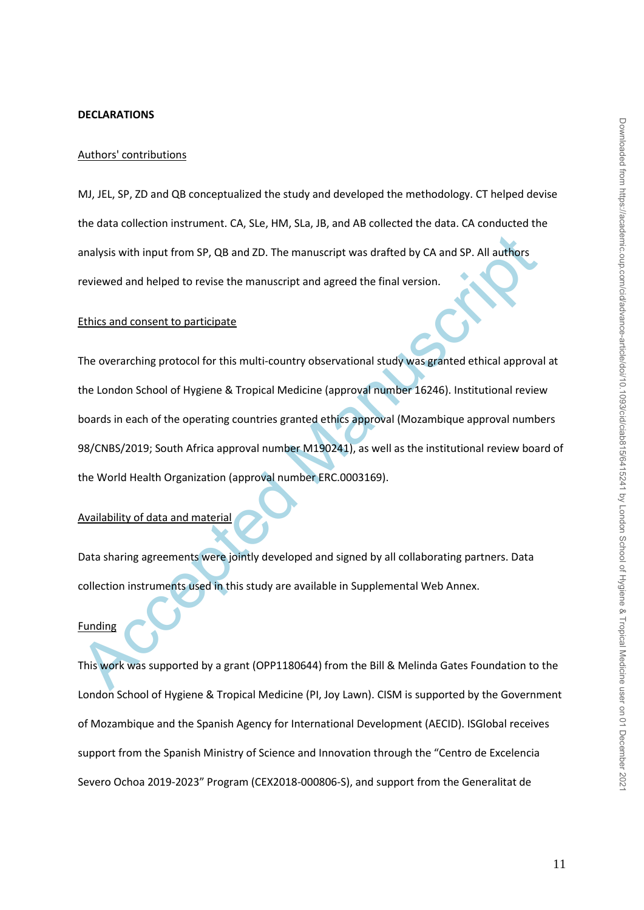#### **DECLARATIONS**

### Authors' contributions

MJ, JEL, SP, ZD and QB conceptualized the study and developed the methodology. CT helped devise the data collection instrument. CA, SLe, HM, SLa, JB, and AB collected the data. CA conducted the analysis with input from SP, QB and ZD. The manuscript was drafted by CA and SP. All authors reviewed and helped to revise the manuscript and agreed the final version.

#### Ethics and consent to participate

analysis with input from SP, QB and ZD. The manuscript was drafted by CA and SP. All authors<br>
reviewed and helped to revise the manuscript and agreed the final version.<br>
Ethics and consent to participate<br>
The overarching p The overarching protocol for this multi-country observational study was granted ethical approval at the London School of Hygiene & Tropical Medicine (approval number 16246). Institutional review boards in each of the operating countries granted ethics approval (Mozambique approval numbers 98/CNBS/2019; South Africa approval number M190241), as well as the institutional review board of the World Health Organization (approval number ERC.0003169).

# Availability of data and material

Data sharing agreements were jointly developed and signed by all collaborating partners. Data collection instruments used in this study are available in Supplemental Web Annex.

# Funding

This work was supported by a grant (OPP1180644) from the Bill & Melinda Gates Foundation to the London School of Hygiene & Tropical Medicine (PI, Joy Lawn). CISM is supported by the Government of Mozambique and the Spanish Agency for International Development (AECID). ISGlobal receives support from the Spanish Ministry of Science and Innovation through the "Centro de Excelencia Severo Ochoa 2019-2023" Program (CEX2018-000806-S), and support from the Generalitat de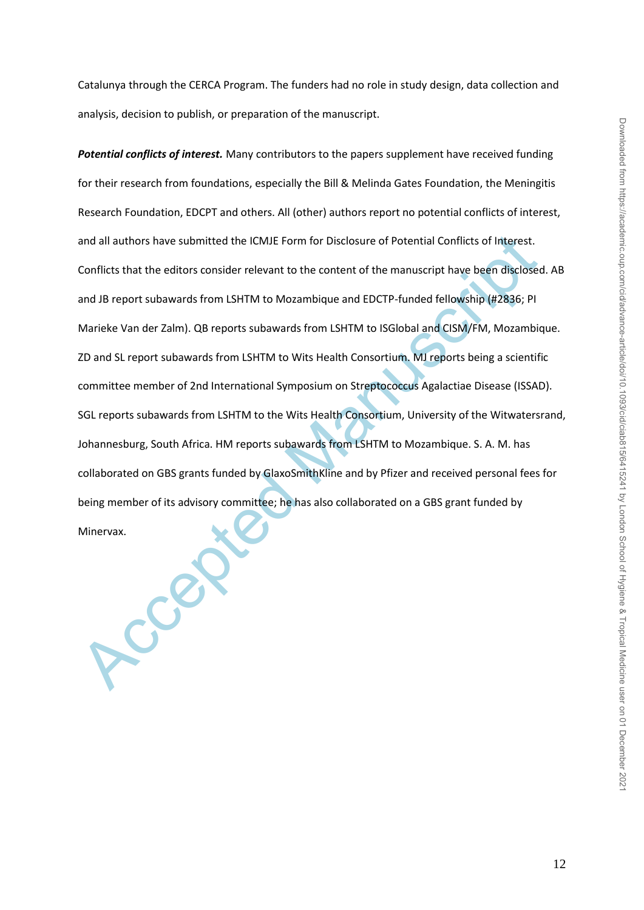Catalunya through the CERCA Program. The funders had no role in study design, data collection and analysis, decision to publish, or preparation of the manuscript.

and all authors have submitted the ICMJE Form for Disclosure of Potential Conflicts of Interest.<br>Conflicts that the editors consider relevant to the content of the manuscript have been disclosed<br>and JB report subawards fro *Potential conflicts of interest.* Many contributors to the papers supplement have received funding for their research from foundations, especially the Bill & Melinda Gates Foundation, the Meningitis Research Foundation, EDCPT and others. All (other) authors report no potential conflicts of interest, and all authors have submitted the ICMJE Form for Disclosure of Potential Conflicts of Interest. Conflicts that the editors consider relevant to the content of the manuscript have been disclosed. AB and JB report subawards from LSHTM to Mozambique and EDCTP-funded fellowship (#2836; PI Marieke Van der Zalm). QB reports subawards from LSHTM to ISGlobal and CISM/FM, Mozambique. ZD and SL report subawards from LSHTM to Wits Health Consortium. MJ reports being a scientific committee member of 2nd International Symposium on Streptococcus Agalactiae Disease (ISSAD). SGL reports subawards from LSHTM to the Wits Health Consortium, University of the Witwatersrand, Johannesburg, South Africa. HM reports subawards from LSHTM to Mozambique. S. A. M. has collaborated on GBS grants funded by GlaxoSmithKline and by Pfizer and received personal fees for being member of its advisory committee; he has also collaborated on a GBS grant funded by

Minervax.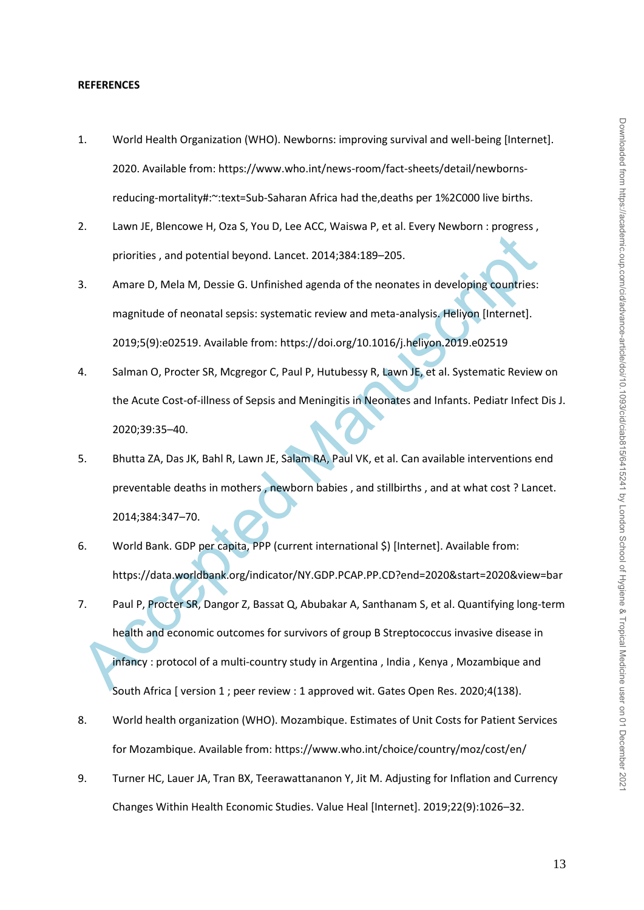#### **REFERENCES**

- 1. World Health Organization (WHO). Newborns: improving survival and well-being [Internet]. 2020. Available from: https://www.who.int/news-room/fact-sheets/detail/newbornsreducing-mortality#:~:text=Sub-Saharan Africa had the,deaths per 1%2C000 live births.
- 2. Lawn JE, Blencowe H, Oza S, You D, Lee ACC, Waiswa P, et al. Every Newborn : progress , priorities , and potential beyond. Lancet. 2014;384:189–205.
- 3. Amare D, Mela M, Dessie G. Unfinished agenda of the neonates in developing countries: magnitude of neonatal sepsis: systematic review and meta-analysis. Heliyon [Internet]. 2019;5(9):e02519. Available from: https://doi.org/10.1016/j.heliyon.2019.e02519
- 4. Salman O, Procter SR, Mcgregor C, Paul P, Hutubessy R, Lawn JE, et al. Systematic Review on the Acute Cost-of-illness of Sepsis and Meningitis in Neonates and Infants. Pediatr Infect Dis J. 2020;39:35–40.
- 5. Bhutta ZA, Das JK, Bahl R, Lawn JE, Salam RA, Paul VK, et al. Can available interventions end preventable deaths in mothers , newborn babies , and stillbirths , and at what cost ? Lancet. 2014;384:347–70.
- 6. World Bank. GDP per capita, PPP (current international \$) [Internet]. Available from: https://data.worldbank.org/indicator/NY.GDP.PCAP.PP.CD?end=2020&start=2020&view=bar
- priorities, and potential beyond. Lancet. 2014;384:189–205.<br>
Amare D, Mela M, Dessie G. Unfinished agenda of the neonates in developing countries:<br>
magnitude of neonatal sepsis: systematic review and meta-analysis. Heliyon 7. Paul P, Procter SR, Dangor Z, Bassat Q, Abubakar A, Santhanam S, et al. Quantifying long-term health and economic outcomes for survivors of group B Streptococcus invasive disease in infancy : protocol of a multi-country study in Argentina , India , Kenya , Mozambique and South Africa [ version 1 ; peer review : 1 approved wit. Gates Open Res. 2020;4(138).
- 8. World health organization (WHO). Mozambique. Estimates of Unit Costs for Patient Services for Mozambique. Available from: https://www.who.int/choice/country/moz/cost/en/
- 9. Turner HC, Lauer JA, Tran BX, Teerawattananon Y, Jit M. Adjusting for Inflation and Currency Changes Within Health Economic Studies. Value Heal [Internet]. 2019;22(9):1026–32.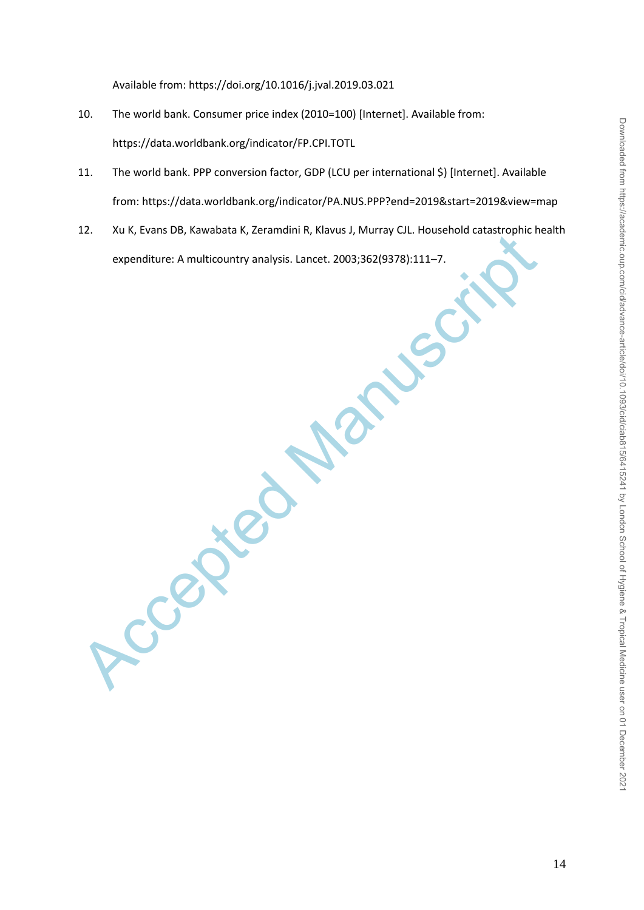- 10. The world bank. Consumer price index (2010=100) [Internet]. Available from: https://data.worldbank.org/indicator/FP.CPI.TOTL
- 11. The world bank. PPP conversion factor, GDP (LCU per international \$) [Internet]. Available from: https://data.worldbank.org/indicator/PA.NUS.PPP?end=2019&start=2019&view=map
- 12. Xu K, Evans DB, Kawabata K, Zeramdini R, Klavus J, Murray CJL. Household catastrophic health expenditure: A multicountry analysis. Lancet. 2003;362(9378):111–7.

12. Xu K, Evans DB, Kawabata k<br>expenditure: A multicountry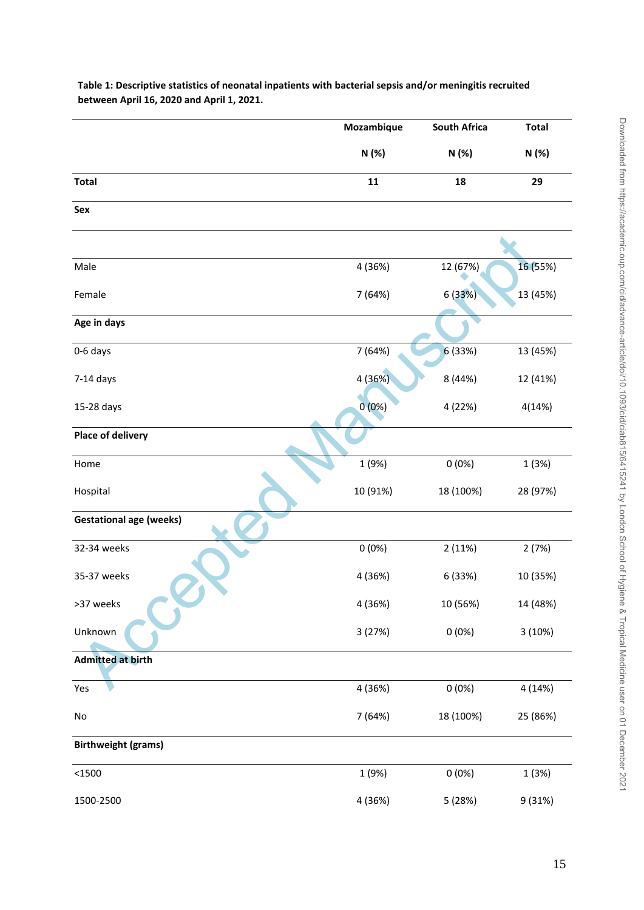|                                | Mozambique | <b>South Africa</b> | <b>Total</b> |
|--------------------------------|------------|---------------------|--------------|
|                                | N(%)       | N (%)               | N (%)        |
| <b>Total</b>                   | ${\bf 11}$ | 18                  | 29           |
| Sex                            |            |                     |              |
|                                |            |                     |              |
| Male                           | 4 (36%)    | 12 (67%)            | 16 (55%)     |
| Female                         | 7 (64%)    | 6 (33%)             | 13 (45%)     |
| Age in days                    |            |                     |              |
| 0-6 days                       | 7 (64%)    | 6(33%)              | 13 (45%)     |
| $7-14$ days                    | 4 (36%)    | 8 (44%)             | 12 (41%)     |
| 15-28 days                     | 0(0%)      | 4 (22%)             | 4(14%)       |
| <b>Place of delivery</b>       |            |                     |              |
| Home                           | 1 (9%)     | 0(0%)               | 1(3%)        |
| Hospital                       | 10 (91%)   | 18 (100%)           | 28 (97%)     |
| <b>Gestational age (weeks)</b> |            |                     |              |
| 32-34 weeks                    | 0(0%)      | 2(11%)              | 2(7%)        |
| 35-37 weeks                    | 4 (36%)    | 6 (33%)             | 10 (35%)     |
| >37 weeks                      | 4 (36%)    | 10 (56%)            | 14 (48%)     |
| Unknown                        | 3(27%)     | 0(0%)               | 3(10%)       |
| <b>Admitted at birth</b>       |            |                     |              |
| Yes                            | 4 (36%)    | 0(0%)               | 4 (14%)      |
| $\mathsf{No}$                  | 7 (64%)    | 18 (100%)           | 25 (86%)     |
| <b>Birthweight (grams)</b>     |            |                     |              |
| $<$ 1500                       | 1 (9%)     | 0(0%)               | 1 (3%)       |
| 1500-2500                      | 4 (36%)    | 5 (28%)             | 9 (31%)      |

**Table 1: Descriptive statistics of neonatal inpatients with bacterial sepsis and/or meningitis recruited between April 16, 2020 and April 1, 2021.**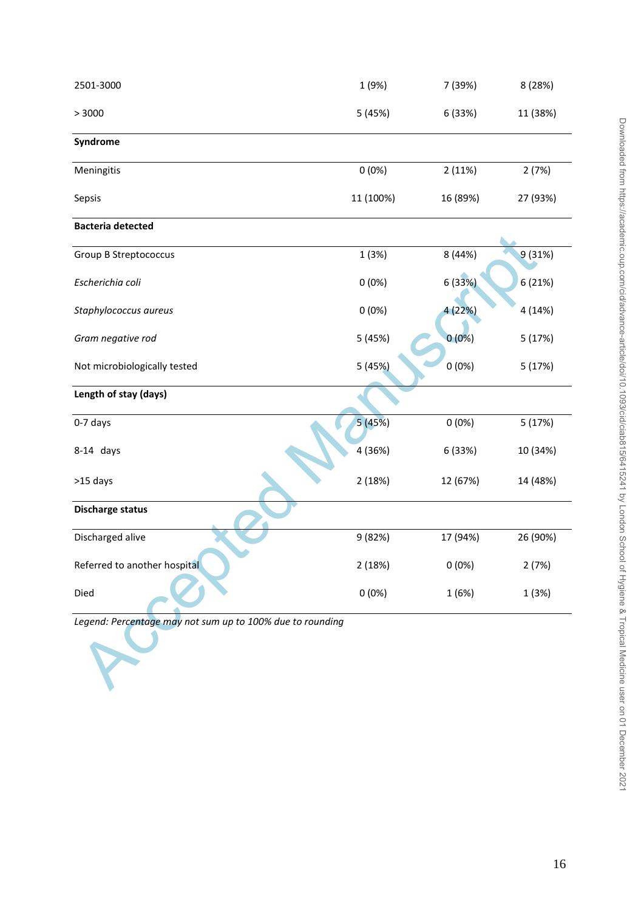| 2501-3000                                                 | 1 (9%)    | 7 (39%)  | 8 (28%)  |
|-----------------------------------------------------------|-----------|----------|----------|
| > 3000                                                    | 5 (45%)   | 6 (33%)  | 11 (38%) |
| Syndrome                                                  |           |          |          |
| Meningitis                                                | 0(0%)     | 2(11%)   | 2(7%)    |
| Sepsis                                                    | 11 (100%) | 16 (89%) | 27 (93%) |
| <b>Bacteria detected</b>                                  |           |          |          |
| <b>Group B Streptococcus</b>                              | 1(3%)     | 8 (44%)  | 9(31%)   |
| Escherichia coli                                          | 0(0%)     | 6 (33%)  | 6 (21%)  |
| Staphylococcus aureus                                     | 0(0%)     | 4 (22%)  | 4 (14%)  |
| Gram negative rod                                         | 5 (45%)   | $0(0\%)$ | 5(17%)   |
| Not microbiologically tested                              | 5(45%)    | 0(0%)    | 5(17%)   |
| Length of stay (days)                                     |           |          |          |
| 0-7 days                                                  | 5 (45%)   | 0(0%)    | 5(17%)   |
| 8-14 days                                                 | 4 (36%)   | 6 (33%)  | 10 (34%) |
| >15 days                                                  | 2(18%)    | 12 (67%) | 14 (48%) |
| <b>Discharge status</b>                                   |           |          |          |
| Discharged alive                                          | 9 (82%)   | 17 (94%) | 26 (90%) |
| Referred to another hospital                              | 2(18%)    | 0(0%)    | 2(7%)    |
| Died                                                      | 0(0%)     | 1(6%)    | 1(3%)    |
| Legend: Percentage may not sum up to 100% due to rounding |           |          |          |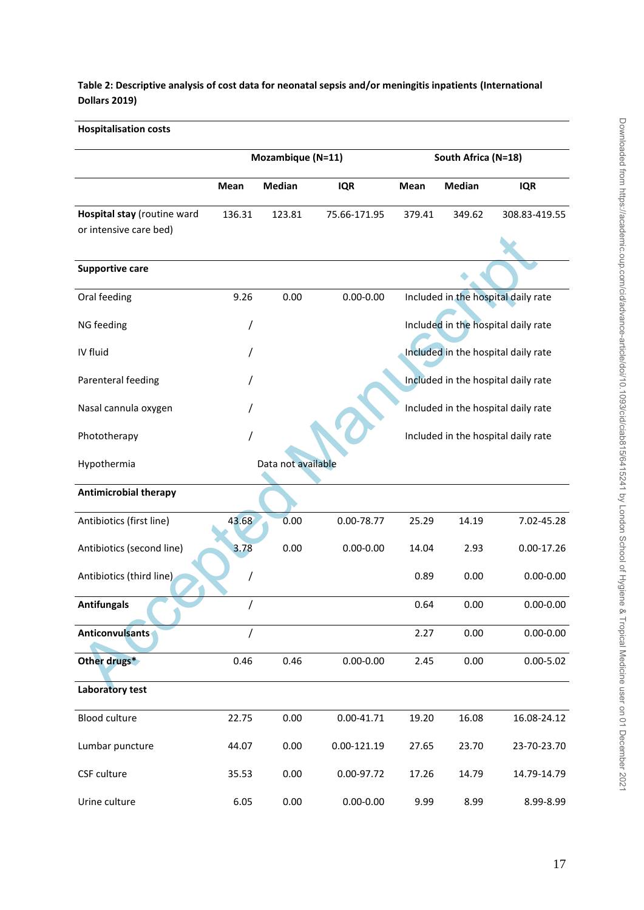# **Table 2: Descriptive analysis of cost data for neonatal sepsis and/or meningitis inpatients (International Dollars 2019)**

# **Hospitalisation costs**

|                              | Mozambique (N=11) |                    |                 | South Africa (N=18) |               |                                     |
|------------------------------|-------------------|--------------------|-----------------|---------------------|---------------|-------------------------------------|
|                              |                   |                    |                 |                     |               |                                     |
|                              | <b>Mean</b>       | <b>Median</b>      | <b>IQR</b>      | Mean                | <b>Median</b> | <b>IQR</b>                          |
| Hospital stay (routine ward  | 136.31            | 123.81             | 75.66-171.95    | 379.41              | 349.62        | 308.83-419.55                       |
| or intensive care bed)       |                   |                    |                 |                     |               |                                     |
|                              |                   |                    |                 |                     |               |                                     |
| <b>Supportive care</b>       |                   |                    |                 |                     |               |                                     |
| Oral feeding                 | 9.26              | 0.00               | $0.00 - 0.00$   |                     |               | Included in the hospital daily rate |
| NG feeding                   | 7                 |                    |                 |                     |               | Included in the hospital daily rate |
| IV fluid                     |                   |                    |                 |                     |               | Included in the hospital daily rate |
| Parenteral feeding           |                   |                    |                 |                     |               | Included in the hospital daily rate |
| Nasal cannula oxygen         |                   |                    |                 |                     |               | Included in the hospital daily rate |
| Phototherapy                 | /                 |                    |                 |                     |               | Included in the hospital daily rate |
| Hypothermia                  |                   | Data not available |                 |                     |               |                                     |
| <b>Antimicrobial therapy</b> |                   |                    |                 |                     |               |                                     |
| Antibiotics (first line)     | 43.68             | 0.00               | 0.00-78.77      | 25.29               | 14.19         | 7.02-45.28                          |
| Antibiotics (second line)    | 3.78              | 0.00               | $0.00 - 0.00$   | 14.04               | 2.93          | $0.00 - 17.26$                      |
| Antibiotics (third line)     |                   |                    |                 | 0.89                | 0.00          | $0.00 - 0.00$                       |
| <b>Antifungals</b>           | /                 |                    |                 | 0.64                | 0.00          | $0.00 - 0.00$                       |
| Anticonvulsants              | /                 |                    |                 | 2.27                | 0.00          | $0.00 - 0.00$                       |
| Other drugs*                 | 0.46              | 0.46               | $0.00 - 0.00$   | 2.45                | 0.00          | $0.00 - 5.02$                       |
| Laboratory test              |                   |                    |                 |                     |               |                                     |
| <b>Blood culture</b>         | 22.75             | 0.00               | $0.00 - 41.71$  | 19.20               | 16.08         | 16.08-24.12                         |
| Lumbar puncture              | 44.07             | 0.00               | $0.00 - 121.19$ | 27.65               | 23.70         | 23-70-23.70                         |
| CSF culture                  | 35.53             | 0.00               | 0.00-97.72      | 17.26               | 14.79         | 14.79-14.79                         |
| Urine culture                | 6.05              | 0.00               | $0.00 - 0.00$   | 9.99                | 8.99          | 8.99-8.99                           |